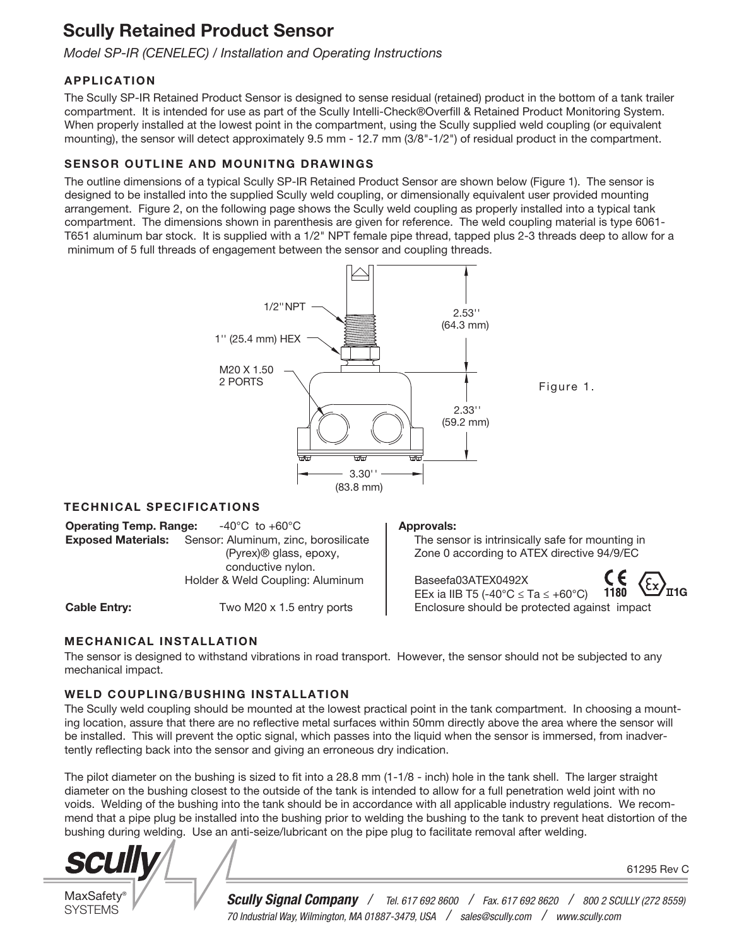# Scully Retained Product Sensor

*Model SP-IR (CENELEC) / Installation and Operating Instructions*

## APPLICATION

The Scully SP-IR Retained Product Sensor is designed to sense residual (retained) product in the bottom of a tank trailer compartment. It is intended for use as part of the Scully Intelli-Check®Overfill & Retained Product Monitoring System. When properly installed at the lowest point in the compartment, using the Scully supplied weld coupling (or equivalent mounting), the sensor will detect approximately 9.5 mm - 12.7 mm (3/8"-1/2") of residual product in the compartment.

## SENSOR OUTLINE AND MOUNITNG DRAWINGS

The outline dimensions of a typical Scully SP-IR Retained Product Sensor are shown below (Figure 1). The sensor is designed to be installed into the supplied Scully weld coupling, or dimensionally equivalent user provided mounting arrangement. Figure 2, on the following page shows the Scully weld coupling as properly installed into a typical tank compartment. The dimensions shown in parenthesis are given for reference. The weld coupling material is type 6061- T651 aluminum bar stock. It is supplied with a 1/2" NPT female pipe thread, tapped plus 2-3 threads deep to allow for a minimum of 5 full threads of engagement between the sensor and coupling threads.



## TECHNICAL SPECIFICATIONS

**Operating Temp. Range:**  $-40^{\circ}$ C to  $+60^{\circ}$ C Exposed Materials: Sensor: Aluminum, zinc, borosilicate (Pyrex)® glass, epoxy, conductive nylon. Holder & Weld Coupling: Aluminum

Cable Entry: Two M20 x 1.5 entry ports

#### Approvals:

 The sensor is intrinsically safe for mounting in Zone 0 according to ATEX directive 94/9/EC

Figure 1.

 Baseefa03ATEX0492X 1180 EEx ia IIB T5 (-40°C  $\le$  Ta  $\le$  +60°C) Enclosure should be protected against impact

## MECHANICAL INSTALLATION

The sensor is designed to withstand vibrations in road transport. However, the sensor should not be subjected to any mechanical impact.

## WELD COUPLING/BUSHING INSTALLATION

The Scully weld coupling should be mounted at the lowest practical point in the tank compartment. In choosing a mounting location, assure that there are no reflective metal surfaces within 50mm directly above the area where the sensor will be installed. This will prevent the optic signal, which passes into the liquid when the sensor is immersed, from inadvertently reflecting back into the sensor and giving an erroneous dry indication.

The pilot diameter on the bushing is sized to fit into a 28.8 mm  $(1-1/8 - inch)$  hole in the tank shell. The larger straight diameter on the bushing closest to the outside of the tank is intended to allow for a full penetration weld joint with no voids. Welding of the bushing into the tank should be in accordance with all applicable industry regulations. We recommend that a pipe plug be installed into the bushing prior to welding the bushing to the tank to prevent heat distortion of the bushing during welding. Use an anti-seize/lubricant on the pipe plug to facilitate removal after welding.



**MaxSafety** SYSTEMS

*Scully Signal Company / Tel. 617 692 8600 / Fax. 617 692 8620 / 800 2 SCULLY (272 8559) 70 Industrial Way, Wilmington, MA 01887-3479, USA / sales@scully.com / www.scully.com*

61295 Rev C

<sup>΄</sup>π1G